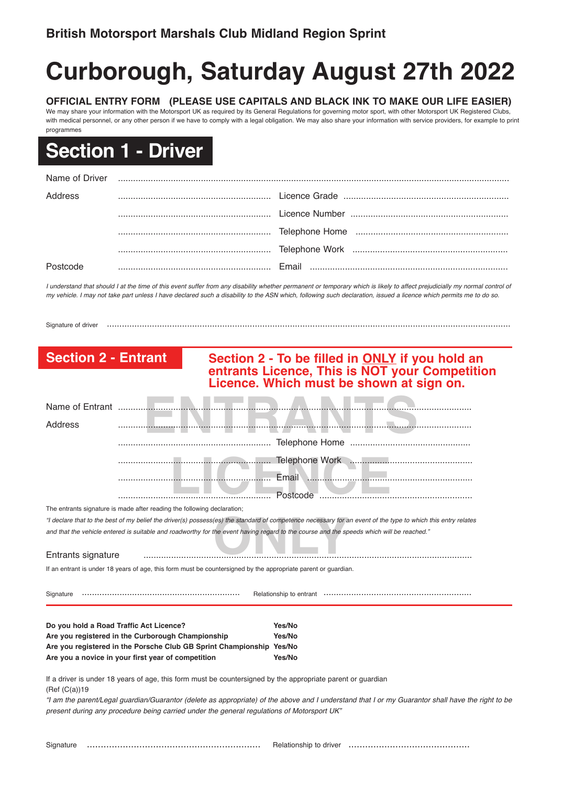## **Curborough, Saturday August 27th 2022**

**OFFICIAL ENTRY FORM (PLEASE USE CAPITALS AND BLACK INK TO MAKE OUR LIFE EASIER)** We may share your information with the Motorsport UK as required by its General Regulations for governing motor sport, with other Motorsport UK Registered Clubs, with medical personnel, or any other person if we have to comply with a legal obligation. We may also share your information with service providers, for example to print programmes

## **Section 1 - Driver**

| Name of Driver |  |
|----------------|--|
| Address        |  |
|                |  |
|                |  |
|                |  |
|                |  |

I understand that should I at the time of this event suffer from any disability whether permanent or temporary which is likely to affect prejudicially my normal control of my vehicle. I may not take part unless I have declared such a disability to the ASN which, following such declaration, issued a licence which permits me to do so.

Signature of driver .................................................................................................................................................................

## **Section 2 - Entrant Section 2 - To be filled in ONLY if you hold an entrants Licence, This is NOT your Competition Licence. Which must be shown at sign on.** Name of Entrant .......

| Address                                 |                                                                                                                |                                                                                                                                                              |
|-----------------------------------------|----------------------------------------------------------------------------------------------------------------|--------------------------------------------------------------------------------------------------------------------------------------------------------------|
|                                         |                                                                                                                |                                                                                                                                                              |
|                                         |                                                                                                                |                                                                                                                                                              |
|                                         |                                                                                                                | Email                                                                                                                                                        |
|                                         |                                                                                                                | Postcode                                                                                                                                                     |
|                                         | The entrants signature is made after reading the following declaration;                                        |                                                                                                                                                              |
|                                         |                                                                                                                | "I declare that to the best of my belief the driver(s) possess(es) the standard of competence necessary for an event of the type to which this entry relates |
|                                         |                                                                                                                | and that the vehicle entered is suitable and roadworthy for the event having regard to the course and the speeds which will be reached."                     |
| Entrants signature                      |                                                                                                                |                                                                                                                                                              |
|                                         | If an entrant is under 18 years of age, this form must be countersigned by the appropriate parent or quardian. |                                                                                                                                                              |
|                                         |                                                                                                                |                                                                                                                                                              |
| Do you hold a Road Traffic Act Licence? |                                                                                                                | Yes/No                                                                                                                                                       |
|                                         | Are you registered in the Curborough Championship                                                              | Yes/No                                                                                                                                                       |
|                                         | Are you registered in the Porsche Club GB Sprint Championship Yes/No                                           |                                                                                                                                                              |
|                                         | Are you a novice in your first year of competition                                                             | Yes/No                                                                                                                                                       |
| (Ref (C(a))19)                          | If a driver is under 18 years of age, this form must be countersigned by the appropriate parent or guardian    |                                                                                                                                                              |

"I am the parent/Legal guardian/Guarantor (delete as appropriate) of the above and I understand that I or my Guarantor shall have the right to be *present during any procedure being carried under the general regulations of Motorsport UK"*

Signature ............................................................... Relationship to driver ............................................